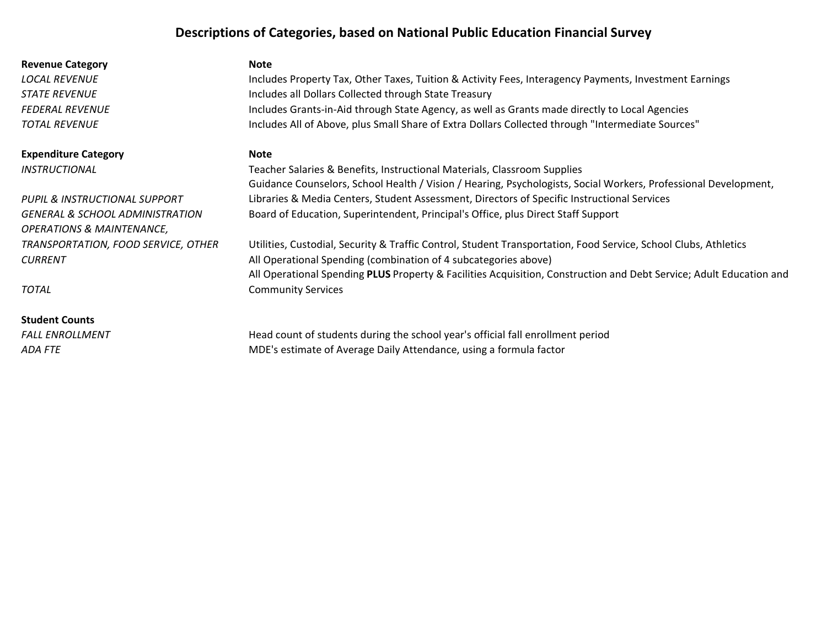# Descriptions of Categories, based on National Public Education Financial Survey

| <b>Revenue Category</b>                    | Note                                                                                                                |
|--------------------------------------------|---------------------------------------------------------------------------------------------------------------------|
| <b>LOCAL REVENUE</b>                       | Includes Property Tax, Other Taxes, Tuition & Activity Fees, Interagency Payments, Investment Earnings              |
| <i><b>STATE REVENUE</b></i>                | Includes all Dollars Collected through State Treasury                                                               |
| <b>FEDERAL REVENUE</b>                     | Includes Grants-in-Aid through State Agency, as well as Grants made directly to Local Agencies                      |
| <b>TOTAL REVENUE</b>                       | Includes All of Above, plus Small Share of Extra Dollars Collected through "Intermediate Sources"                   |
| <b>Expenditure Category</b>                | <b>Note</b>                                                                                                         |
| <i><b>INSTRUCTIONAL</b></i>                | Teacher Salaries & Benefits, Instructional Materials, Classroom Supplies                                            |
|                                            | Guidance Counselors, School Health / Vision / Hearing, Psychologists, Social Workers, Professional Development,     |
| PUPIL & INSTRUCTIONAL SUPPORT              | Libraries & Media Centers, Student Assessment, Directors of Specific Instructional Services                         |
| <b>GENERAL &amp; SCHOOL ADMINISTRATION</b> | Board of Education, Superintendent, Principal's Office, plus Direct Staff Support                                   |
| <b>OPERATIONS &amp; MAINTENANCE,</b>       |                                                                                                                     |
| TRANSPORTATION, FOOD SERVICE, OTHER        | Utilities, Custodial, Security & Traffic Control, Student Transportation, Food Service, School Clubs, Athletics     |
| <b>CURRENT</b>                             | All Operational Spending (combination of 4 subcategories above)                                                     |
|                                            | All Operational Spending PLUS Property & Facilities Acquisition, Construction and Debt Service; Adult Education and |
| <b>TOTAL</b>                               | <b>Community Services</b>                                                                                           |
| <b>Student Counts</b>                      |                                                                                                                     |

FALL ENROLLMENT Head count of students during the school year's official fall enrollment period ADA FTE MDE's estimate of Average Daily Attendance, using a formula factor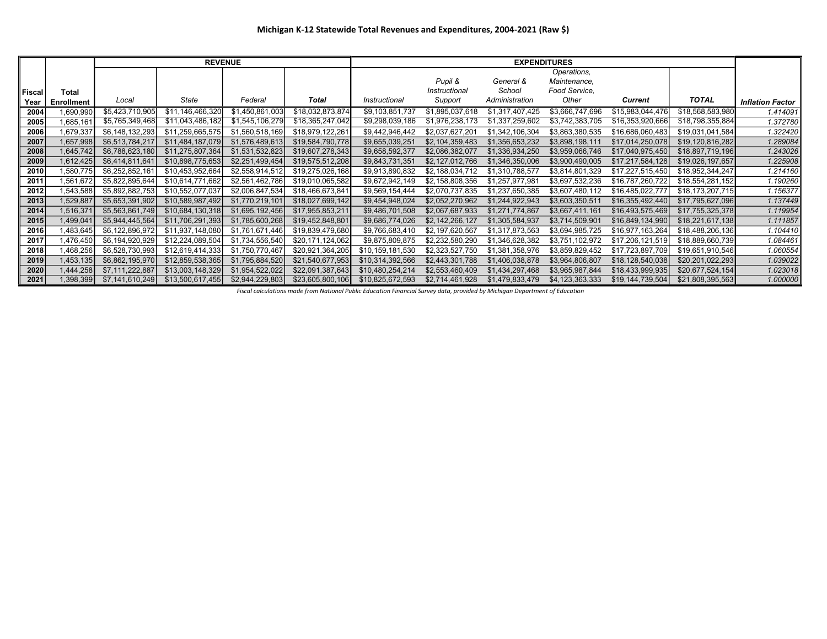|        |                   |                 | <b>REVENUE</b>   |                 |                  |                  |                 | <b>EXPENDITURES</b> |                 |                  |                  |                         |
|--------|-------------------|-----------------|------------------|-----------------|------------------|------------------|-----------------|---------------------|-----------------|------------------|------------------|-------------------------|
|        |                   |                 |                  |                 |                  |                  |                 |                     | Operations,     |                  |                  |                         |
|        |                   |                 |                  |                 |                  |                  | Pupil &         | General &           | Maintenance,    |                  |                  |                         |
| Fiscal | Total             |                 |                  |                 |                  |                  | Instructional   | School              | Food Service,   |                  |                  |                         |
| Year   | <b>Enrollment</b> | Local           | State            | Federal         | Total            | Instructional    | Support         | Administration      | Other           | <b>Current</b>   | <b>TOTAL</b>     | <b>Inflation Factor</b> |
| 2004   | ,690,990          | \$5,423,710,905 | \$11,146,466,320 | \$1,450,861,003 | \$18,032,873,874 | \$9,103,851,737  | \$1,895,037,618 | \$1,317,407,425     | \$3,666,747,696 | \$15,983,044,476 | \$18,568,583,980 | 1.414091                |
| 2005   | 1,685,161         | \$5,765,349,468 | \$11,043,486,182 | \$1,545,106,279 | \$18,365,247,042 | \$9,298,039,186  | \$1,976,238,173 | \$1,337,259,602     | \$3,742,383,705 | \$16,353,920,666 | \$18,798,355,884 | 1.372780                |
| 2006   | 1,679,337         | \$6,148,132,293 | \$11,259,665,575 | \$1,560,518,169 | \$18,979,122,261 | \$9,442,946,442  | \$2,037,627,201 | \$1,342,106,304     | \$3,863,380,535 | \$16,686,060,483 | \$19,031,041,584 | 1.322420                |
| 2007   | 1,657,998         | \$6,513,784,217 | \$11,484,187,079 | \$1,576,489,613 | \$19,584,790,778 | \$9,655,039,251  | \$2,104,359,483 | \$1,356,653,232     | \$3,898,198,111 | \$17,014,250,078 | \$19,120,816,282 | 1.289084                |
| 2008   | 1,645,742         | \$6,788,623,180 | \$11,275,807,364 | \$1,531,532,823 | \$19,607,278,343 | \$9,658,592,377  | \$2,086,382,077 | \$1,336,934,250     | \$3,959,066,746 | \$17,040,975,450 | \$18,897,719,196 | 1.243026                |
| 2009   | 1,612,425         | \$6,414,811,641 | \$10,898,775,653 | \$2,251,499,454 | \$19,575,512,208 | \$9,843,731,351  | \$2,127,012,766 | \$1,346,350,006     | \$3,900,490,005 | \$17,217,584,128 | \$19,026,197,657 | 1.225908                |
| 2010   | 1,580,775         | \$6,252,852,161 | \$10,453,952,664 | \$2,558,914,512 | \$19,275,026,168 | \$9,913,890,832  | \$2,188,034,712 | \$1,310,788,577     | \$3,814,801,329 | \$17,227,515,450 | \$18,952,344,247 | 1.214160                |
| 2011   | 1,561,672         | \$5,822,895,644 | \$10,614,771,662 | \$2,561,462,786 | \$19,010,065,582 | \$9,672,942,149  | \$2,158,808,356 | \$1,257,977,981     | \$3,697,532,236 | \$16,787,260,722 | \$18,554,281,152 | 1.190260                |
| 2012   | 1,543,588         | \$5,892,882,753 | \$10,552,077,037 | \$2,006,847,534 | \$18,466,673,841 | \$9,569,154,444  | \$2,070,737,835 | \$1,237,650,385     | \$3,607,480,112 | \$16,485,022,777 | \$18,173,207,715 | 1.156377                |
| 2013   | 1,529,887         | \$5,653,391,902 | \$10,589,987,492 | \$1,770,219,101 | \$18,027,699,142 | \$9,454,948,024  | \$2,052,270,962 | \$1,244,922,943     | \$3,603,350,511 | \$16,355,492,440 | \$17,795,627,096 | 1.137449                |
| 2014   | 1,516,371         | \$5,563,861,749 | \$10,684,130,318 | \$1,695,192,456 | \$17,955,853,211 | \$9,486,701,508  | \$2,067,687,933 | \$1,271,774,867     | \$3,667,411,161 | \$16,493,575,469 | \$17,755,325,378 | 1.119954                |
| 2015   | 1,499,041         | \$5,944,445,564 | \$11,706,291,393 | \$1,785,600,268 | \$19,452,848,801 | \$9,686,774,026  | \$2,142,266,127 | \$1,305,584,937     | \$3,714,509,901 | \$16,849,134,990 | \$18,221,617,138 | 1.111857                |
| 2016   | 1,483,645         | \$6,122,896,972 | \$11,937,148,080 | \$1,761,671,446 | \$19,839,479,680 | \$9,766,683,410  | \$2,197,620,567 | \$1,317,873,563     | \$3,694,985,725 | \$16,977,163,264 | \$18,488,206,136 | 1.104410                |
| 2017   | ,476,450          | \$6,194,920,929 | \$12,224,089,504 | \$1,734,556,540 | \$20,171,124,062 | \$9,875,809,875  | \$2,232,580,290 | \$1,346,628,382     | \$3,751,102,972 | \$17,206,121,519 | \$18,889,660,739 | 1.084461                |
| 2018   | 1,468,256         | \$6,528,730,993 | \$12,619,414,333 | \$1,750,770,467 | \$20,921,364,205 | \$10,159,181,530 | \$2,323,527,750 | \$1,381,358,976     | \$3,859,829,452 | \$17,723,897,709 | \$19,651,910,546 | 1.060554                |
| 2019   | 1,453,135         | \$6,862,195,970 | \$12,859,538,365 | \$1,795,884,520 | \$21,540,677,953 | \$10,314,392,566 | \$2,443,301,788 | \$1,406,038,878     | \$3,964,806,807 | \$18,128,540,038 | \$20,201,022,293 | 1.039022                |
| 2020   | 1,444,258         | \$7,111,222,887 | \$13,003,148,329 | \$1,954,522,022 | \$22,091,387,643 | \$10,480,254,214 | \$2,553,460,409 | \$1,434,297,468     | \$3,965,987,844 | \$18,433,999,935 | \$20,677,524,154 | 1.023018                |
| 2021   | 1,398,399         | \$7,141,610,249 | \$13,500,617,455 | \$2,944,229,803 | \$23,605,800,106 | \$10,825,672,593 | \$2,714,461,928 | \$1,479,833,479     | \$4,123,363,333 | \$19,144,739,504 | \$21,808,395,563 | 1.000000                |

Fiscal calculations made from National Public Education Financial Survey data, provided by Michigan Department of Education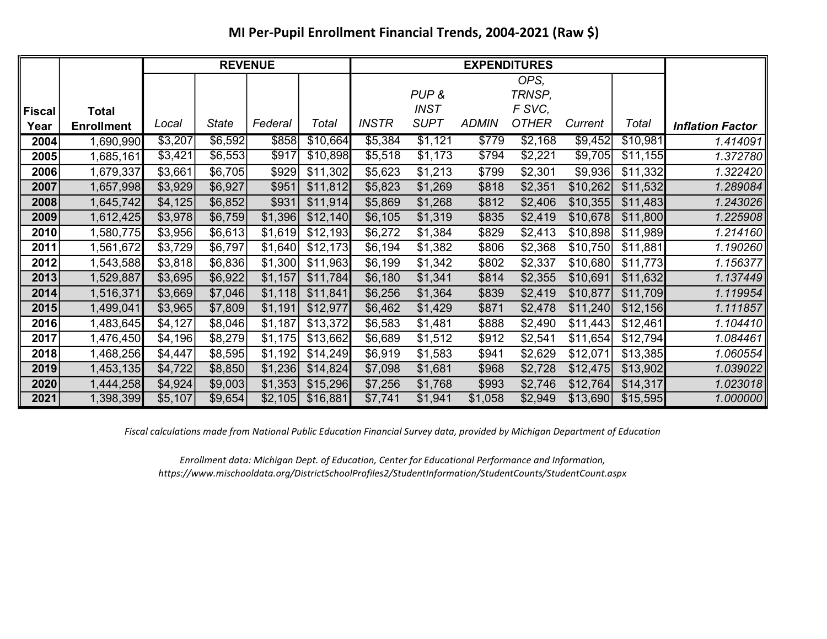# MI Per-Pupil Enrollment Financial Trends, 2004-2021 (Raw \$)

|               |                   |         |              | <b>REVENUE</b> |          |              |             |              |              |          |          |                         |
|---------------|-------------------|---------|--------------|----------------|----------|--------------|-------------|--------------|--------------|----------|----------|-------------------------|
|               |                   |         |              |                |          |              |             |              | OPS,         |          |          |                         |
|               |                   |         |              |                |          |              | PUP&        |              | TRNSP,       |          |          |                         |
| <b>Fiscal</b> | <b>Total</b>      |         |              |                |          |              | <b>INST</b> |              | F SVC,       |          |          |                         |
| Year          | <b>Enrollment</b> | Local   | <b>State</b> | Federal        | Total    | <b>INSTR</b> | <b>SUPT</b> | <b>ADMIN</b> | <b>OTHER</b> | Current  | Total    | <b>Inflation Factor</b> |
| 2004          | 1,690,990         | \$3,207 | \$6,592      | \$858          | \$10,664 | \$5,384      | \$1,121     | \$779        | \$2,168      | \$9,452  | \$10,981 | 1.414091                |
| 2005          | 1,685,161         | \$3,421 | \$6,553      | \$917          | \$10,898 | \$5,518      | \$1,173     | \$794        | \$2,221      | \$9,705  | \$11,155 | 1.372780                |
| 2006          | 1,679,337         | \$3,661 | \$6,705      | \$929          | \$11,302 | \$5,623      | \$1,213     | \$799        | \$2,301      | \$9,936  | \$11,332 | 1.322420                |
| 2007          | 1,657,998         | \$3,929 | \$6,927      | \$951          | \$11,812 | \$5,823      | \$1,269     | \$818        | \$2,351      | \$10,262 | \$11,532 | 1.289084                |
| 2008          | 1,645,742         | \$4,125 | \$6,852      | \$931          | \$11,914 | \$5,869      | \$1,268     | \$812        | \$2,406      | \$10,355 | \$11,483 | 1.243026                |
| 2009          | 1,612,425         | \$3,978 | \$6,759      | \$1,396        | \$12,140 | \$6,105      | \$1,319     | \$835        | \$2,419      | \$10,678 | \$11,800 | 1.225908                |
| 2010          | 1,580,775         | \$3,956 | \$6,613      | \$1,619        | \$12,193 | \$6,272      | \$1,384     | \$829        | \$2,413      | \$10,898 | \$11,989 | 1.214160                |
| 2011          | 1,561,672         | \$3,729 | \$6,797      | \$1,640        | \$12,173 | \$6,194      | \$1,382     | \$806        | \$2,368      | \$10,750 | \$11,881 | 1.190260                |
| 2012          | 1,543,588         | \$3,818 | \$6,836      | \$1,300        | \$11,963 | \$6,199      | \$1,342     | \$802        | \$2,337      | \$10,680 | \$11,773 | 1.156377                |
| 2013          | 1,529,887         | \$3,695 | \$6,922      | \$1,157        | \$11,784 | \$6,180      | \$1,341     | \$814        | \$2,355      | \$10,691 | \$11,632 | 1.137449                |
| 2014          | 1,516,371         | \$3,669 | \$7,046      | \$1,118        | \$11,841 | \$6,256      | \$1,364     | \$839        | \$2,419      | \$10,877 | \$11,709 | 1.119954                |
| 2015          | 1,499,041         | \$3,965 | \$7,809      | \$1,191        | \$12,977 | \$6,462      | \$1,429     | \$871        | \$2,478      | \$11,240 | \$12,156 | 1.111857                |
| 2016          | 1,483,645         | \$4,127 | \$8,046      | \$1,187        | \$13,372 | \$6,583      | \$1,481     | \$888        | \$2,490      | \$11,443 | \$12,461 | 1.104410                |
| 2017          | 1,476,450         | \$4,196 | \$8,279      | \$1,175        | \$13,662 | \$6,689      | \$1,512     | \$912        | \$2,541      | \$11,654 | \$12,794 | 1.084461                |
| 2018          | 1,468,256         | \$4,447 | \$8,595      | \$1,192        | \$14,249 | \$6,919      | \$1,583     | \$941        | \$2,629      | \$12,071 | \$13,385 | 1.060554                |
| 2019          | 1,453,135         | \$4,722 | \$8,850      | \$1,236        | \$14,824 | \$7,098      | \$1,681     | \$968        | \$2,728      | \$12,475 | \$13,902 | 1.039022                |
| 2020          | 1,444,258         | \$4,924 | \$9,003      | \$1,353        | \$15,296 | \$7,256      | \$1,768     | \$993        | \$2,746      | \$12,764 | \$14,317 | 1.023018                |
| 2021          | 1,398,399         | \$5,107 | \$9,654      | \$2,105        | \$16,881 | \$7,741      | \$1,941     | \$1,058      | \$2,949      | \$13,690 | \$15,595 | 1.000000                |

Fiscal calculations made from National Public Education Financial Survey data, provided by Michigan Department of Education

Enrollment data: Michigan Dept. of Education, Center for Educational Performance and Information, https://www.mischooldata.org/DistrictSchoolProfiles2/StudentInformation/StudentCounts/StudentCount.aspx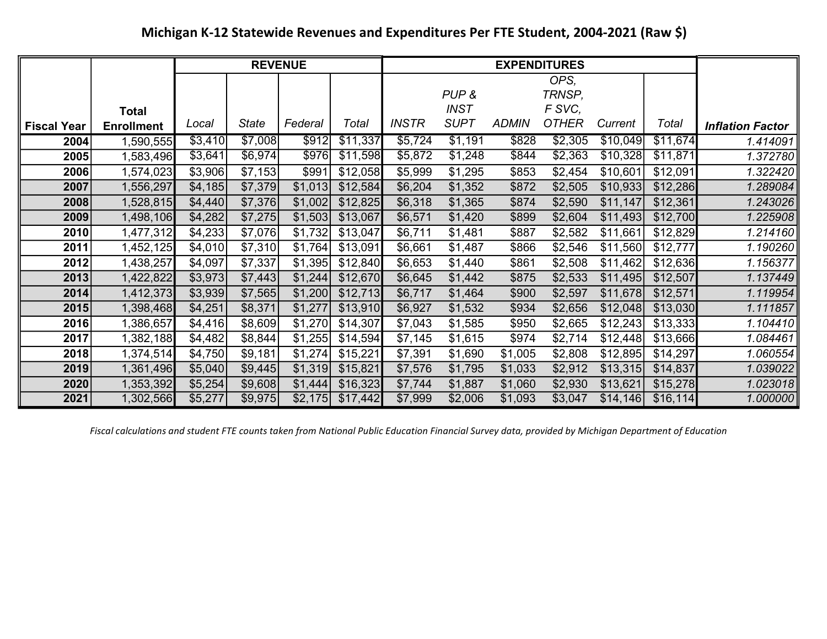# Michigan K-12 Statewide Revenues and Expenditures Per FTE Student, 2004-2021 (Raw \$)

|                    |                   |         |              | <b>REVENUE</b> |          |              |             |              | <b>EXPENDITURES</b> |          |           |                         |
|--------------------|-------------------|---------|--------------|----------------|----------|--------------|-------------|--------------|---------------------|----------|-----------|-------------------------|
|                    |                   |         |              |                |          |              |             |              | OPS,                |          |           |                         |
|                    |                   |         |              |                |          |              | PUP&        |              | TRNSP,              |          |           |                         |
|                    | <b>Total</b>      |         |              |                |          |              | <b>INST</b> |              | F SVC,              |          |           |                         |
| <b>Fiscal Year</b> | <b>Enrollment</b> | Local   | <b>State</b> | Federal        | Total    | <b>INSTR</b> | <b>SUPT</b> | <b>ADMIN</b> | <b>OTHER</b>        | Current  | Total     | <b>Inflation Factor</b> |
| 2004               | 1,590,555         | \$3,410 | \$7,008      | \$912          | \$11,337 | \$5,724      | \$1,191     | \$828        | \$2,305             | \$10,049 | \$11,674  | 1.414091                |
| 2005               | 1,583,496         | \$3,641 | \$6,974      | \$976          | \$11,598 | \$5,872      | \$1,248     | \$844        | \$2,363             | \$10,328 | \$11,871  | 1.372780                |
| 2006               | 1,574,023         | \$3,906 | \$7,153      | \$991          | \$12,058 | \$5,999      | \$1,295     | \$853        | \$2,454             | \$10,601 | \$12,091  | 1.322420                |
| 2007               | 1,556,297         | \$4,185 | \$7,379      | \$1,013        | \$12,584 | \$6,204      | \$1,352     | \$872        | \$2,505             | \$10,933 | \$12,286  | 1.289084                |
| 2008               | 1,528,815         | \$4,440 | \$7,376      | \$1,002        | \$12,825 | \$6,318      | \$1,365     | \$874        | \$2,590             | \$11,147 | \$12,361  | 1.243026                |
| 2009               | 1,498,106         | \$4,282 | \$7,275      | \$1,503        | \$13,067 | \$6,571      | \$1,420     | \$899        | \$2,604             | \$11,493 | \$12,700  | 1.225908                |
| 2010               | 1,477,312         | \$4,233 | \$7,076      | \$1,732        | \$13,047 | \$6,711      | \$1,481     | \$887        | \$2,582             | \$11,661 | \$12,829  | 1.214160                |
| 2011               | 1,452,125         | \$4,010 | \$7,310      | \$1,764        | \$13,091 | \$6,661      | \$1,487     | \$866        | \$2,546             | \$11,560 | \$12,777  | 1.190260                |
| 2012               | 1,438,257         | \$4,097 | \$7,337      | \$1,395        | \$12,840 | \$6,653      | \$1,440     | \$861        | \$2,508             | \$11,462 | \$12,636  | 1.156377                |
| 2013               | 1,422,822         | \$3,973 | \$7,443      | \$1,244        | \$12,670 | \$6,645      | \$1,442     | \$875        | \$2,533             | \$11,495 | \$12,507  | 1.137449                |
| 2014               | 1,412,373         | \$3,939 | \$7,565      | \$1,200        | \$12,713 | \$6,717      | \$1,464     | \$900        | \$2,597             | \$11,678 | \$12,571  | 1.119954                |
| 2015               | 1,398,468         | \$4,251 | \$8,371      | \$1,277        | \$13,910 | \$6,927      | \$1,532     | \$934        | \$2,656             | \$12,048 | \$13,030  | 1.111857                |
| 2016               | 1,386,657         | \$4,416 | \$8,609      | \$1,270        | \$14,307 | \$7,043      | \$1,585     | \$950        | \$2,665             | \$12,243 | \$13,333  | 1.104410                |
| 2017               | 1,382,188         | \$4,482 | \$8,844      | \$1,255        | \$14,594 | \$7,145      | \$1,615     | \$974        | \$2,714             | \$12,448 | \$13,666  | 1.084461                |
| 2018               | 1,374,514         | \$4,750 | \$9,181      | \$1,274        | \$15,221 | \$7,391      | \$1,690     | \$1,005      | \$2,808             | \$12,895 | \$14,297  | 1.060554                |
| 2019               | 1,361,496         | \$5,040 | \$9,445      | \$1,319        | \$15,821 | \$7,576      | \$1,795     | \$1,033      | \$2,912             | \$13,315 | \$14,837  | 1.039022                |
| 2020               | 1,353,392         | \$5,254 | \$9,608      | \$1,444        | \$16,323 | \$7,744      | \$1,887     | \$1,060      | \$2,930             | \$13,621 | \$15,278  | 1.023018                |
| 2021               | 1,302,566         | \$5,277 | \$9,975      | \$2,175        | \$17,442 | \$7,999      | \$2,006     | \$1,093      | \$3,047             | \$14,146 | \$16, 114 | 1.000000                |

Fiscal calculations and student FTE counts taken from National Public Education Financial Survey data, provided by Michigan Department of Education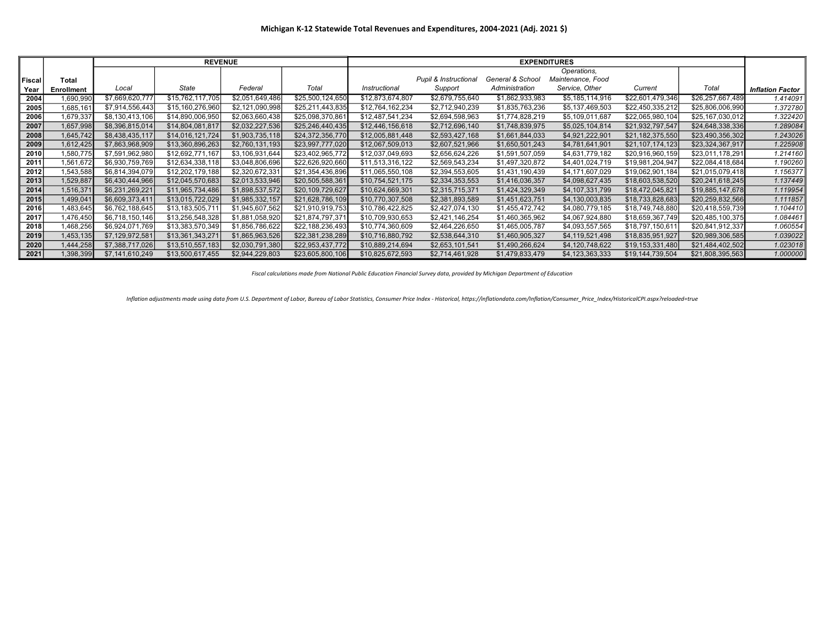|        |            |                 | <b>REVENUE</b>   |                 |                  | <b>EXPENDITURES</b> |                       |                  |                   |                  |                  |                         |  |
|--------|------------|-----------------|------------------|-----------------|------------------|---------------------|-----------------------|------------------|-------------------|------------------|------------------|-------------------------|--|
|        |            |                 |                  |                 |                  |                     |                       |                  | Operations.       |                  |                  |                         |  |
| Fiscal | Total      |                 |                  |                 |                  |                     | Pupil & Instructional | General & School | Maintenance, Food |                  |                  |                         |  |
| Year   | Enrollment | Local           | State            | Federal         | Total            | Instructional       | Support               | Administration   | Service, Other    | Current          | Total            | <b>Inflation Factor</b> |  |
| 2004   | 1,690,990  | \$7,669,620,777 | \$15,762,117,705 | \$2,051,649,486 | \$25,500,124,650 | \$12,873,674,807    | \$2,679,755,640       | \$1,862,933,983  | \$5,185,114,916   | \$22,601,479,346 | \$26,257,667,489 | 1.414091                |  |
| 2005   | 1,685,161  | \$7,914,556,443 | \$15,160,276,960 | \$2,121,090,998 | \$25,211,443,835 | \$12,764,162,234    | \$2,712,940,239       | \$1,835,763,236  | \$5,137,469,503   | \$22,450,335,212 | \$25,806,006,990 | 1.372780                |  |
| 2006   | 1,679,337  | \$8,130,413,106 | \$14,890,006,950 | \$2,063,660,438 | \$25,098,370,86  | \$12,487,541,234    | \$2,694,598,963       | \$1,774,828,219  | \$5,109,011,687   | \$22,065,980,104 | \$25,167,030,012 | 1.322420                |  |
| 2007   | 1,657,998  | \$8,396,815,014 | \$14,804,081,817 | \$2,032,227,536 | \$25,246,440,435 | \$12,446,156,618    | \$2,712,696,140       | \$1,748,839,975  | \$5,025,104,814   | \$21,932,797,547 | \$24,648,338,336 | 1.289084                |  |
| 2008   | 1,645,742  | \$8,438,435,117 | \$14,016,121,724 | \$1,903,735,118 | \$24,372,356,770 | \$12,005,881,448    | \$2,593,427,168       | \$1,661,844,033  | \$4,921,222,901   | \$21,182,375,550 | \$23,490,356,302 | 1.243026                |  |
| 2009   | 1,612,425  | \$7,863,968,909 | \$13,360,896,263 | \$2,760,131,193 | \$23,997,777,020 | \$12,067,509,013    | \$2,607,521,966       | \$1,650,501,243  | \$4,781,641,901   | \$21,107,174,123 | \$23,324,367,917 | 1.225908                |  |
| 2010   | 1,580,775  | \$7,591,962,980 | \$12,692,771,167 | \$3,106,931,644 | \$23,402,965,772 | \$12,037,049,693    | \$2,656,624,226       | \$1,591,507,059  | \$4,631,779,182   | \$20,916,960,159 | \$23,011,178,291 | 1.214160                |  |
| 2011   | 1,561,672  | \$6,930,759,769 | \$12,634,338,118 | \$3,048,806,696 | \$22,626,920,660 | \$11,513,316,122    | \$2,569,543,234       | \$1,497,320,872  | \$4,401,024,719   | \$19,981,204,947 | \$22,084,418,684 | 1.190260                |  |
| 2012   | 1,543,588  | \$6,814,394,079 | \$12,202,179,188 | \$2,320,672,331 | \$21,354,436,896 | \$11,065,550,108    | \$2,394,553,605       | \$1,431,190,439  | \$4,171,607,029   | \$19,062,901,184 | \$21,015,079,418 | 1.156377                |  |
| 2013   | 1,529,887  | \$6,430,444,966 | \$12,045,570,683 | \$2,013,533,946 | \$20,505,588,361 | \$10,754,521,175    | \$2,334,353,553       | \$1,416,036,357  | \$4,098,627,435   | \$18,603,538,520 | \$20,241,618,245 | 1.137449                |  |
| 2014   | 1,516,371  | \$6,231,269,221 | \$11,965,734,486 | \$1,898,537,572 | \$20,109,729,627 | \$10,624,669,301    | \$2,315,715,371       | \$1,424,329,349  | \$4,107,331,799   | \$18,472,045,821 | \$19,885,147,678 | 1.119954                |  |
| 2015   | 1,499,041  | \$6,609,373,411 | \$13,015,722,029 | \$1,985,332,157 | \$21,628,786,109 | \$10,770,307,508    | \$2,381,893,589       | \$1,451,623,751  | \$4,130,003,835   | \$18,733,828,683 | \$20,259,832,566 | 1.111857                |  |
| 2016   | 1,483,645  | \$6,762,188,645 | \$13,183,505,711 | \$1,945,607,562 | \$21,910,919,753 | \$10,786,422,825    | \$2,427,074,130       | \$1,455,472,742  | \$4,080,779,185   | \$18,749,748,880 | \$20,418,559,739 | 1.104410                |  |
| 2017   | 476,450,   | \$6,718,150,146 | \$13,256,548,328 | \$1,881,058,920 | \$21,874,797,371 | \$10,709,930,653    | \$2,421,146,254       | \$1,460,365,962  | \$4,067,924,880   | \$18,659,367,749 | \$20,485,100,375 | 1.084461                |  |
| 2018   | 468,256    | \$6,924,071,769 | \$13,383,570,349 | \$1,856,786,622 | \$22,188,236,493 | \$10,774,360,609    | \$2,464,226,650       | \$1,465,005,787  | \$4,093,557,565   | \$18,797,150,611 | \$20,841,912,337 | 1.060554                |  |
| 2019   | 1,453,135  | \$7,129,972,581 | \$13,361,343,271 | \$1,865,963,526 | \$22,381,238,289 | \$10,716,880,792    | \$2,538,644,310       | \$1,460,905,327  | \$4,119,521,498   | \$18,835,951,927 | \$20,989,306,585 | 1.039022                |  |
| 2020   | 1,444,258  | \$7,388,717,026 | \$13,510,557,183 | \$2,030,791,380 | \$22,953,437,772 | \$10,889,214,694    | \$2,653,101,541       | \$1,490,266,624  | \$4,120,748,622   | \$19,153,331,480 | \$21,484,402,502 | 1.023018                |  |
| 2021   | 1,398,399  | \$7,141,610,249 | \$13,500,617,455 | \$2,944,229,803 | \$23,605,800,106 | \$10,825,672,593    | \$2,714,461,928       | \$1,479,833,479  | \$4,123,363,333   | \$19,144,739,504 | \$21,808,395,563 | 1.000000                |  |

Fiscal calculations made from National Public Education Financial Survey data, provided by Michigan Department of Education

Inflation adjustments made using data from U.S. Department of Labor, Bureau of Labor Statistics, Consumer Price Index - Historical, https://inflationdata.com/Inflation/Consumer\_Price\_Index/HistoricalCPI.aspx?reloaded=true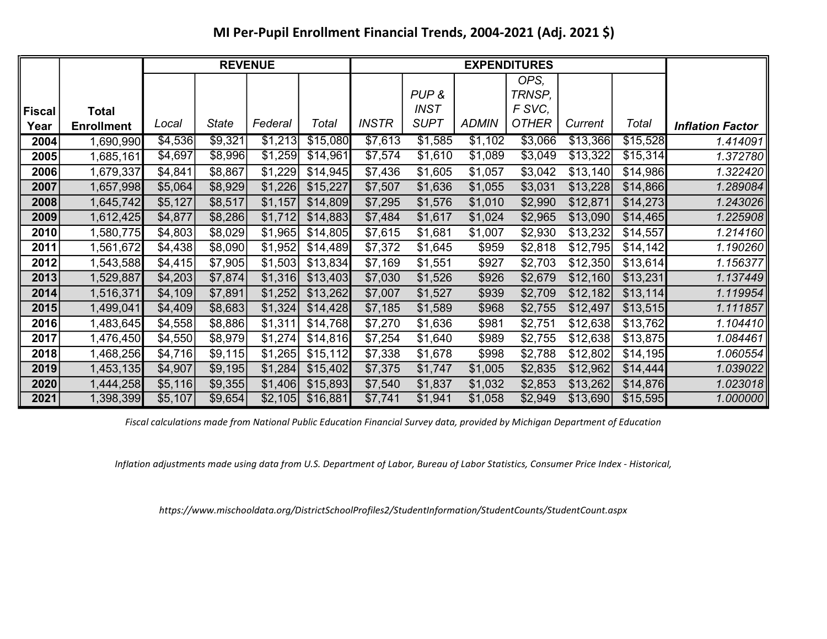### MI Per-Pupil Enrollment Financial Trends, 2004-2021 (Adj. 2021 \$)

|        |                   |         |         | <b>REVENUE</b> |          |              |             |              | <b>EXPENDITURES</b> |          |          |                         |
|--------|-------------------|---------|---------|----------------|----------|--------------|-------------|--------------|---------------------|----------|----------|-------------------------|
|        |                   |         |         |                |          |              |             |              | OPS,                |          |          |                         |
|        |                   |         |         |                |          |              | PUP&        |              | TRNSP,              |          |          |                         |
| Fiscal | <b>Total</b>      |         |         |                |          |              | <b>INST</b> |              | F SVC,              |          |          |                         |
| Year   | <b>Enrollment</b> | Local   | State   | Federal        | Total    | <b>INSTR</b> | <b>SUPT</b> | <b>ADMIN</b> | <b>OTHER</b>        | Current  | Total    | <b>Inflation Factor</b> |
| 2004   | 1,690,990         | \$4,536 | \$9,321 | \$1,213        | \$15,080 | \$7,613      | \$1,585     | \$1,102      | \$3,066             | \$13,366 | \$15,528 | 1.414091                |
| 2005   | 1,685,161         | \$4,697 | \$8,996 | \$1,259        | \$14,961 | \$7,574      | \$1,610     | \$1,089      | \$3,049             | \$13,322 | \$15,314 | 1.372780                |
| 2006   | 1,679,337         | \$4,841 | \$8,867 | \$1,229        | \$14,945 | \$7,436      | \$1,605     | \$1,057      | \$3,042             | \$13,140 | \$14,986 | 1.322420                |
| 2007   | 1,657,998         | \$5,064 | \$8,929 | \$1,226        | \$15,227 | \$7,507      | \$1,636     | \$1,055      | \$3,031             | \$13,228 | \$14,866 | 1.289084                |
| 2008   | 1,645,742         | \$5,127 | \$8,517 | \$1,157        | \$14,809 | \$7,295      | \$1,576     | \$1,010      | \$2,990             | \$12,871 | \$14,273 | 1.243026                |
| 2009   | 1,612,425         | \$4,877 | \$8,286 | \$1,712        | \$14,883 | \$7,484      | \$1,617     | \$1,024      | \$2,965             | \$13,090 | \$14,465 | 1.225908                |
| 2010   | 1,580,775         | \$4,803 | \$8,029 | \$1,965        | \$14,805 | \$7,615      | \$1,681     | \$1,007      | \$2,930             | \$13,232 | \$14,557 | 1.214160                |
| 2011   | 1,561,672         | \$4,438 | \$8,090 | \$1,952        | \$14,489 | \$7,372      | \$1,645     | \$959        | \$2,818             | \$12,795 | \$14,142 | 1.190260                |
| 2012   | 1,543,588         | \$4,415 | \$7,905 | \$1,503        | \$13,834 | \$7,169      | \$1,551     | \$927        | \$2,703             | \$12,350 | \$13,614 | 1.156377                |
| 2013   | 1,529,887         | \$4,203 | \$7,874 | \$1,316        | \$13,403 | \$7,030      | \$1,526     | \$926        | \$2,679             | \$12,160 | \$13,231 | 1.137449                |
| 2014   | 1,516,371         | \$4,109 | \$7,891 | \$1,252        | \$13,262 | \$7,007      | \$1,527     | \$939        | \$2,709             | \$12,182 | \$13,114 | 1.119954                |
| 2015   | 1,499,041         | \$4,409 | \$8,683 | \$1,324        | \$14,428 | \$7,185      | \$1,589     | \$968        | \$2,755             | \$12,497 | \$13,515 | 1.111857                |
| 2016   | 1,483,645         | \$4,558 | \$8,886 | \$1,311        | \$14,768 | \$7,270      | \$1,636     | \$981        | \$2,751             | \$12,638 | \$13,762 | 1.104410                |
| 2017   | 1,476,450         | \$4,550 | \$8,979 | \$1,274        | \$14,816 | \$7,254      | \$1,640     | \$989        | \$2,755             | \$12,638 | \$13,875 | 1.084461                |
| 2018   | 1,468,256         | \$4,716 | \$9,115 | \$1,265        | \$15,112 | \$7,338      | \$1,678     | \$998        | \$2,788             | \$12,802 | \$14,195 | 1.060554                |
| 2019   | 1,453,135         | \$4,907 | \$9,195 | \$1,284        | \$15,402 | \$7,375      | \$1,747     | \$1,005      | \$2,835             | \$12,962 | \$14,444 | 1.039022                |
| 2020   | 1,444,258         | \$5,116 | \$9,355 | \$1,406        | \$15,893 | \$7,540      | \$1,837     | \$1,032      | \$2,853             | \$13,262 | \$14,876 | 1.023018                |
| 2021   | 1,398,399         | \$5,107 | \$9,654 | \$2,105        | \$16,881 | \$7,741      | \$1,941     | \$1,058      | \$2,949             | \$13,690 | \$15,595 | 1.000000                |

Fiscal calculations made from National Public Education Financial Survey data, provided by Michigan Department of Education

Inflation adjustments made using data from U.S. Department of Labor, Bureau of Labor Statistics, Consumer Price Index - Historical,

https://www.mischooldata.org/DistrictSchoolProfiles2/StudentInformation/StudentCounts/StudentCount.aspx